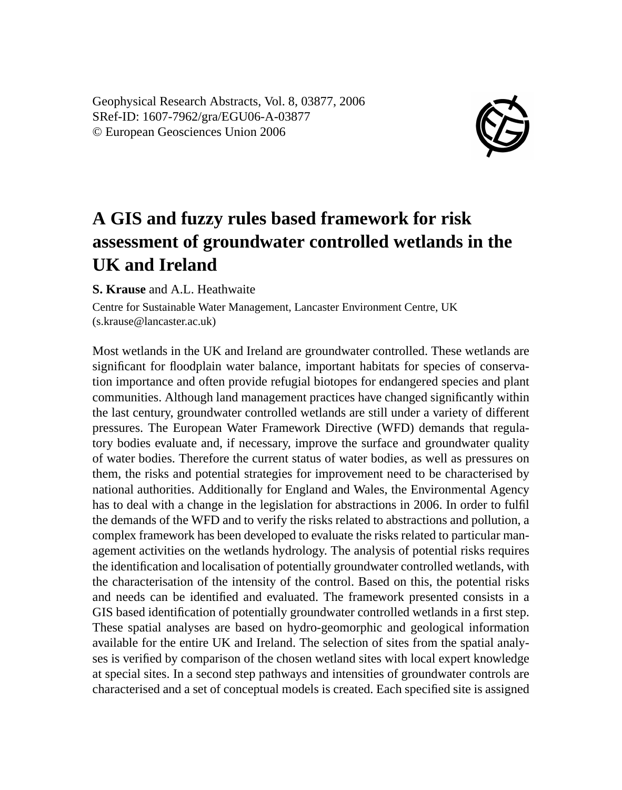Geophysical Research Abstracts, Vol. 8, 03877, 2006 SRef-ID: 1607-7962/gra/EGU06-A-03877 © European Geosciences Union 2006



## **A GIS and fuzzy rules based framework for risk assessment of groundwater controlled wetlands in the UK and Ireland**

**S. Krause** and A.L. Heathwaite

Centre for Sustainable Water Management, Lancaster Environment Centre, UK (s.krause@lancaster.ac.uk)

Most wetlands in the UK and Ireland are groundwater controlled. These wetlands are significant for floodplain water balance, important habitats for species of conservation importance and often provide refugial biotopes for endangered species and plant communities. Although land management practices have changed significantly within the last century, groundwater controlled wetlands are still under a variety of different pressures. The European Water Framework Directive (WFD) demands that regulatory bodies evaluate and, if necessary, improve the surface and groundwater quality of water bodies. Therefore the current status of water bodies, as well as pressures on them, the risks and potential strategies for improvement need to be characterised by national authorities. Additionally for England and Wales, the Environmental Agency has to deal with a change in the legislation for abstractions in 2006. In order to fulfil the demands of the WFD and to verify the risks related to abstractions and pollution, a complex framework has been developed to evaluate the risks related to particular management activities on the wetlands hydrology. The analysis of potential risks requires the identification and localisation of potentially groundwater controlled wetlands, with the characterisation of the intensity of the control. Based on this, the potential risks and needs can be identified and evaluated. The framework presented consists in a GIS based identification of potentially groundwater controlled wetlands in a first step. These spatial analyses are based on hydro-geomorphic and geological information available for the entire UK and Ireland. The selection of sites from the spatial analyses is verified by comparison of the chosen wetland sites with local expert knowledge at special sites. In a second step pathways and intensities of groundwater controls are characterised and a set of conceptual models is created. Each specified site is assigned